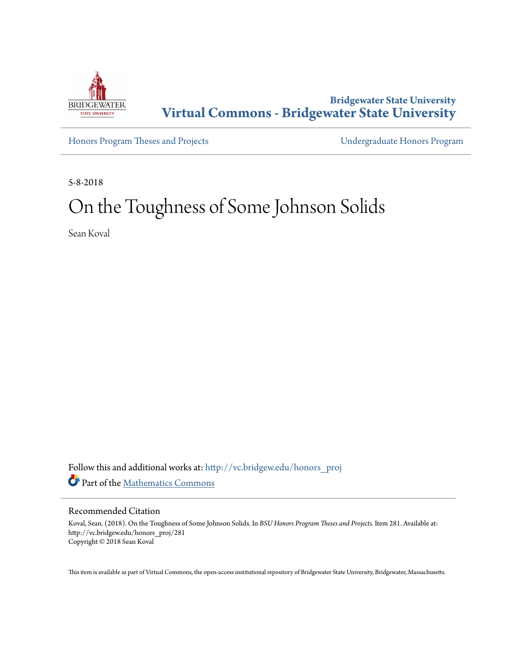

**Bridgewater State University [Virtual Commons - Bridgewater State University](http://vc.bridgew.edu?utm_source=vc.bridgew.edu%2Fhonors_proj%2F281&utm_medium=PDF&utm_campaign=PDFCoverPages)**

[Honors Program Theses and Projects](http://vc.bridgew.edu/honors_proj?utm_source=vc.bridgew.edu%2Fhonors_proj%2F281&utm_medium=PDF&utm_campaign=PDFCoverPages) [Undergraduate Honors Program](http://vc.bridgew.edu/honors?utm_source=vc.bridgew.edu%2Fhonors_proj%2F281&utm_medium=PDF&utm_campaign=PDFCoverPages)

5-8-2018

# On the Toughness of Some Johnson Solids

Sean Koval

Follow this and additional works at: [http://vc.bridgew.edu/honors\\_proj](http://vc.bridgew.edu/honors_proj?utm_source=vc.bridgew.edu%2Fhonors_proj%2F281&utm_medium=PDF&utm_campaign=PDFCoverPages) Part of the [Mathematics Commons](http://network.bepress.com/hgg/discipline/174?utm_source=vc.bridgew.edu%2Fhonors_proj%2F281&utm_medium=PDF&utm_campaign=PDFCoverPages)

#### Recommended Citation

Koval, Sean. (2018). On the Toughness of Some Johnson Solids. In *BSU Honors Program Theses and Projects.* Item 281. Available at: http://vc.bridgew.edu/honors\_proj/281 Copyright © 2018 Sean Koval

This item is available as part of Virtual Commons, the open-access institutional repository of Bridgewater State University, Bridgewater, Massachusetts.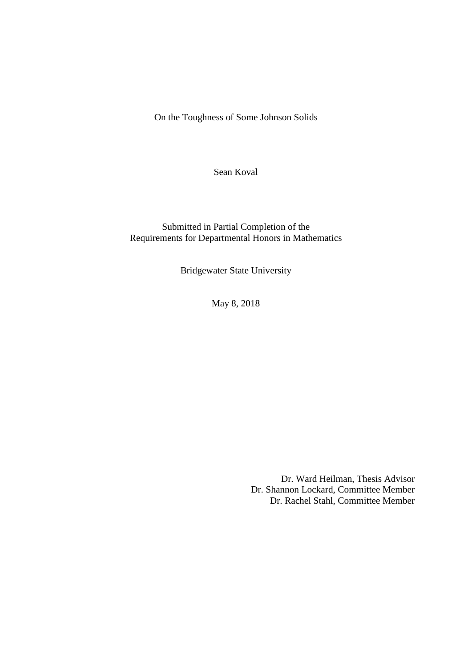On the Toughness of Some Johnson Solids

Sean Koval

Submitted in Partial Completion of the Requirements for Departmental Honors in Mathematics

Bridgewater State University

May 8, 2018

Dr. Ward Heilman, Thesis Advisor Dr. Shannon Lockard, Committee Member Dr. Rachel Stahl, Committee Member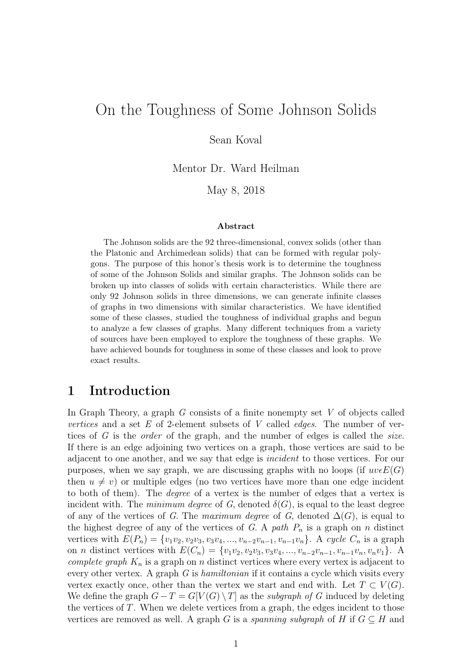# On the Toughness of Some Johnson Solids

Sean Koval

Mentor Dr. Ward Heilman

May 8, 2018

#### Abstract

The Johnson solids are the 92 three-dimensional, convex solids (other than the Platonic and Archimedean solids) that can be formed with regular polygons. The purpose of this honor's thesis work is to determine the toughness of some of the Johnson Solids and similar graphs. The Johnson solids can be broken up into classes of solids with certain characteristics. While there are only 92 Johnson solids in three dimensions, we can generate infinite classes of graphs in two dimensions with similar characteristics. We have identified some of these classes, studied the toughness of individual graphs and begun to analyze a few classes of graphs. Many different techniques from a variety of sources have been employed to explore the toughness of these graphs. We have achieved bounds for toughness in some of these classes and look to prove exact results.

#### 1 Introduction

In Graph Theory, a graph  $G$  consists of a finite nonempty set  $V$  of objects called vertices and a set  $E$  of 2-element subsets of  $V$  called *edges*. The number of vertices of G is the *order* of the graph, and the number of edges is called the *size*. If there is an edge adjoining two vertices on a graph, those vertices are said to be adjacent to one another, and we say that edge is incident to those vertices. For our purposes, when we say graph, we are discussing graphs with no loops (if  $uveE(G)$ ) then  $u \neq v$ ) or multiple edges (no two vertices have more than one edge incident to both of them). The degree of a vertex is the number of edges that a vertex is incident with. The *minimum degree* of G, denoted  $\delta(G)$ , is equal to the least degree of any of the vertices of G. The maximum degree of G, denoted  $\Delta(G)$ , is equal to the highest degree of any of the vertices of G. A path  $P_n$  is a graph on n distinct vertices with  $E(P_n) = \{v_1v_2, v_2v_3, v_3v_4, ..., v_{n-2}v_{n-1}, v_{n-1}v_n\}$ . A cycle  $C_n$  is a graph on *n* distinct vertices with  $E(C_n) = \{v_1v_2, v_2v_3, v_3v_4, ..., v_{n-2}v_{n-1}, v_{n-1}v_n, v_nv_1\}$ . A complete graph  $K_n$  is a graph on n distinct vertices where every vertex is adjacent to every other vertex. A graph  $G$  is *hamiltonian* if it contains a cycle which visits every vertex exactly once, other than the vertex we start and end with. Let  $T \subset V(G)$ . We define the graph  $G - T = G[V(G) \setminus T]$  as the *subgraph of G* induced by deleting the vertices of  $T$ . When we delete vertices from a graph, the edges incident to those vertices are removed as well. A graph G is a spanning subgraph of H if  $G \subseteq H$  and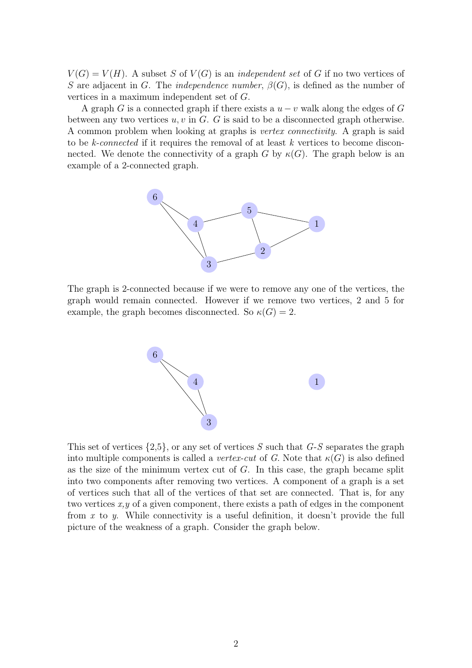$V(G) = V(H)$ . A subset S of  $V(G)$  is an *independent set* of G if no two vertices of S are adjacent in G. The *independence number*,  $\beta(G)$ , is defined as the number of vertices in a maximum independent set of G.

A graph G is a connected graph if there exists a  $u - v$  walk along the edges of G between any two vertices  $u, v$  in  $G$ . G is said to be a disconnected graph otherwise. A common problem when looking at graphs is vertex connectivity. A graph is said to be k-connected if it requires the removal of at least k vertices to become disconnected. We denote the connectivity of a graph G by  $\kappa(G)$ . The graph below is an example of a 2-connected graph.



The graph is 2-connected because if we were to remove any one of the vertices, the graph would remain connected. However if we remove two vertices, 2 and 5 for example, the graph becomes disconnected. So  $\kappa(G) = 2$ .



This set of vertices  $\{2.5\}$ , or any set of vertices S such that  $G-S$  separates the graph into multiple components is called a vertex-cut of G. Note that  $\kappa(G)$  is also defined as the size of the minimum vertex cut of  $G$ . In this case, the graph became split into two components after removing two vertices. A component of a graph is a set of vertices such that all of the vertices of that set are connected. That is, for any two vertices  $x, y$  of a given component, there exists a path of edges in the component from x to y. While connectivity is a useful definition, it doesn't provide the full picture of the weakness of a graph. Consider the graph below.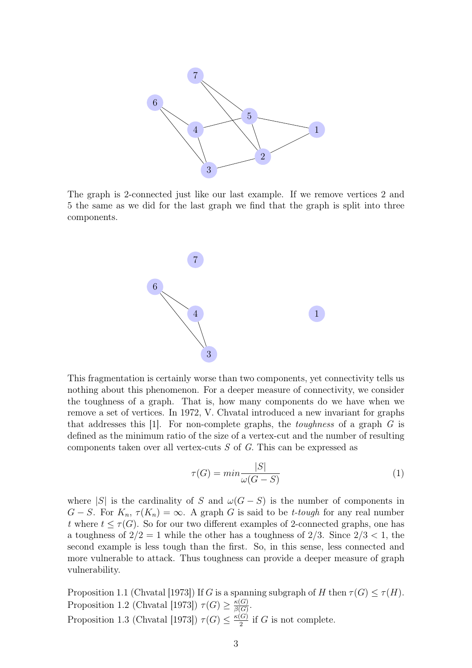

The graph is 2-connected just like our last example. If we remove vertices 2 and 5 the same as we did for the last graph we find that the graph is split into three components.



This fragmentation is certainly worse than two components, yet connectivity tells us nothing about this phenomenon. For a deeper measure of connectivity, we consider the toughness of a graph. That is, how many components do we have when we remove a set of vertices. In 1972, V. Chvatal introduced a new invariant for graphs that addresses this [1]. For non-complete graphs, the *toughness* of a graph  $G$  is defined as the minimum ratio of the size of a vertex-cut and the number of resulting components taken over all vertex-cuts  $S$  of  $G$ . This can be expressed as

$$
\tau(G) = \min \frac{|S|}{\omega(G - S)}\tag{1}
$$

where |S| is the cardinality of S and  $\omega(G-S)$  is the number of components in  $G-S$ . For  $K_n$ ,  $\tau(K_n) = \infty$ . A graph G is said to be *t*-tough for any real number t where  $t \leq \tau(G)$ . So for our two different examples of 2-connected graphs, one has a toughness of  $2/2 = 1$  while the other has a toughness of  $2/3$ . Since  $2/3 < 1$ , the second example is less tough than the first. So, in this sense, less connected and more vulnerable to attack. Thus toughness can provide a deeper measure of graph vulnerability.

Proposition 1.1 (Chvatal [1973]) If G is a spanning subgraph of H then  $\tau(G) \leq \tau(H)$ . Proposition 1.2 (Chvatal [1973])  $\tau(G) \geq \frac{\kappa(G)}{\beta(G)}$  $\frac{\kappa(G)}{\beta(G)}.$ Proposition 1.3 (Chvatal [1973])  $\tau(G) \leq \frac{\kappa(G)}{2}$  $\frac{G}{2}$  if G is not complete.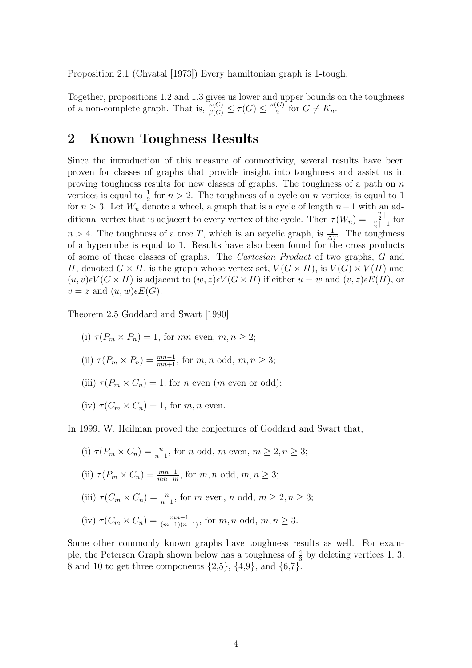Proposition 2.1 (Chvatal [1973]) Every hamiltonian graph is 1-tough.

Together, propositions 1.2 and 1.3 gives us lower and upper bounds on the toughness of a non-complete graph. That is,  $\frac{\kappa(G)}{\beta(G)} \leq \tau(G) \leq \frac{\kappa(G)}{2}$  $rac{G}{2}$  for  $G \neq K_n$ .

### 2 Known Toughness Results

Since the introduction of this measure of connectivity, several results have been proven for classes of graphs that provide insight into toughness and assist us in proving toughness results for new classes of graphs. The toughness of a path on  $n$ vertices is equal to  $\frac{1}{2}$  for  $n > 2$ . The toughness of a cycle on n vertices is equal to 1 for  $n > 3$ . Let  $W_n$  denote a wheel, a graph that is a cycle of length  $n-1$  with an additional vertex that is adjacent to every vertex of the cycle. Then  $\tau(W_n) = \frac{\lceil \frac{n}{2} \rceil}{\lceil \frac{n}{2} \rceil - 1}$  $\frac{1\overline{2}+1}{\left\lceil \frac{n}{2}\right\rceil-1}$  for  $n > 4$ . The toughness of a tree T, which is an acyclic graph, is  $\frac{1}{\Delta T}$ . The toughness of a hypercube is equal to 1. Results have also been found for the cross products of some of these classes of graphs. The Cartesian Product of two graphs, G and H, denoted  $G \times H$ , is the graph whose vertex set,  $V(G \times H)$ , is  $V(G) \times V(H)$  and  $(u, v) \in V(G \times H)$  is adjacent to  $(w, z) \in V(G \times H)$  if either  $u = w$  and  $(v, z) \in E(H)$ , or  $v = z$  and  $(u, w) \in E(G)$ .

Theorem 2.5 Goddard and Swart [1990]

- (i)  $\tau(P_m \times P_n) = 1$ , for mn even,  $m, n \geq 2$ ;
- (ii)  $\tau(P_m \times P_n) = \frac{mn-1}{mn+1}$ , for  $m, n$  odd,  $m, n \geq 3$ ;
- (iii)  $\tau(P_m \times C_n) = 1$ , for *n* even (*m* even or odd);
- (iv)  $\tau(C_m \times C_n) = 1$ , for m, n even.

In 1999, W. Heilman proved the conjectures of Goddard and Swart that,

(i)  $\tau(P_m \times C_n) = \frac{n}{n-1}$ , for *n* odd, *m* even,  $m \ge 2, n \ge 3$ ;

(ii) 
$$
\tau(P_m \times C_n) = \frac{mn-1}{mn-m}
$$
, for m, n odd,  $m, n \ge 3$ ;

(iii) 
$$
\tau(C_m \times C_n) = \frac{n}{n-1}
$$
, for *m* even, *n* odd,  $m \ge 2, n \ge 3$ ;

(iv) 
$$
\tau(C_m \times C_n) = \frac{mn-1}{(m-1)(n-1)}
$$
, for m, n odd,  $m, n \ge 3$ .

Some other commonly known graphs have toughness results as well. For example, the Petersen Graph shown below has a toughness of  $\frac{4}{3}$  by deleting vertices 1, 3, 8 and 10 to get three components  $\{2,5\}$ ,  $\{4,9\}$ , and  $\{6,7\}$ .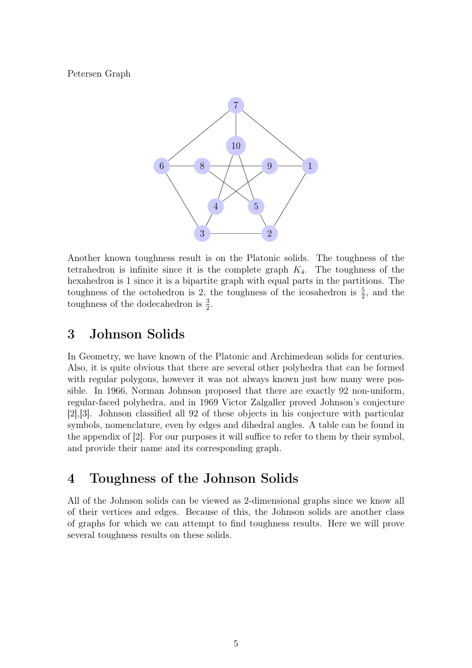Petersen Graph



Another known toughness result is on the Platonic solids. The toughness of the tetrahedron is infinite since it is the complete graph  $K_4$ . The toughness of the hexahedron is 1 since it is a bipartite graph with equal parts in the partitions. The toughness of the octohedron is 2, the toughness of the icosahedron is  $\frac{5}{2}$ , and the toughness of the dodecahedron is  $\frac{3}{2}$ .

## 3 Johnson Solids

In Geometry, we have known of the Platonic and Archimedean solids for centuries. Also, it is quite obvious that there are several other polyhedra that can be formed with regular polygons, however it was not always known just how many were possible. In 1966, Norman Johnson proposed that there are exactly 92 non-uniform, regular-faced polyhedra, and in 1969 Victor Zalgaller proved Johnson's conjecture [2],[3]. Johnson classified all 92 of these objects in his conjecture with particular symbols, nomenclature, even by edges and dihedral angles. A table can be found in the appendix of [2]. For our purposes it will suffice to refer to them by their symbol, and provide their name and its corresponding graph.

## 4 Toughness of the Johnson Solids

All of the Johnson solids can be viewed as 2-dimensional graphs since we know all of their vertices and edges. Because of this, the Johnson solids are another class of graphs for which we can attempt to find toughness results. Here we will prove several toughness results on these solids.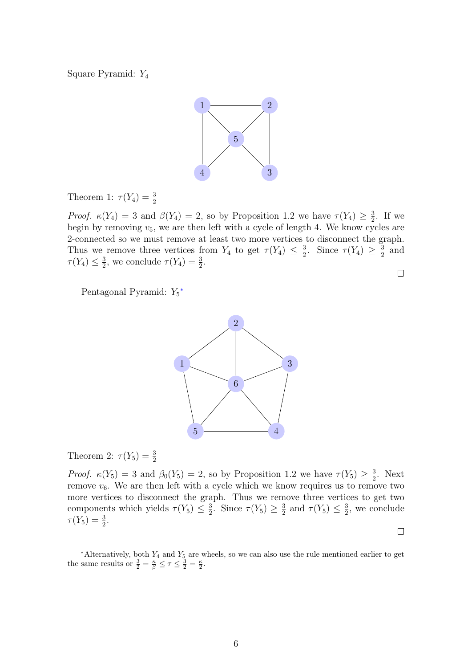Square Pyramid: Y<sup>4</sup>



Theorem 1:  $\tau(Y_4) = \frac{3}{2}$ 

*Proof.*  $\kappa(Y_4) = 3$  and  $\beta(Y_4) = 2$ , so by Proposition 1.2 we have  $\tau(Y_4) \geq \frac{3}{2}$  $\frac{3}{2}$ . If we begin by removing  $v_5$ , we are then left with a cycle of length 4. We know cycles are 2-connected so we must remove at least two more vertices to disconnect the graph. Thus we remove three vertices from  $Y_4$  to get  $\tau(Y_4) \leq \frac{3}{2}$  $\frac{3}{2}$ . Since  $\tau(Y_4) \geq \frac{3}{2}$  $rac{3}{2}$  and  $\tau(Y_4) \leq \frac{3}{2}$  $\frac{3}{2}$ , we conclude  $\tau(Y_4) = \frac{3}{2}$ .  $\Box$ 

Pentagonal Pyramid:  $Y_5^*$ 



Theorem 2:  $\tau(Y_5) = \frac{3}{2}$ 

*Proof.*  $\kappa(Y_5) = 3$  and  $\beta_0(Y_5) = 2$ , so by Proposition 1.2 we have  $\tau(Y_5) \geq \frac{3}{2}$  $\frac{3}{2}$ . Next remove  $v_6$ . We are then left with a cycle which we know requires us to remove two more vertices to disconnect the graph. Thus we remove three vertices to get two components which yields  $\tau(Y_5) \leq \frac{3}{2}$  $\frac{3}{2}$ . Since  $\tau(Y_5) \geq \frac{3}{2}$  $\frac{3}{2}$  and  $\tau(Y_5) \leq \frac{3}{2}$  $\frac{3}{2}$ , we conclude  $\tau(Y_5) = \frac{3}{2}.$ 

 $\Box$ 

6

<span id="page-7-0"></span> $*$ Alternatively, both  $Y_4$  and  $Y_5$  are wheels, so we can also use the rule mentioned earlier to get the same results or  $\frac{3}{2} = \frac{\kappa}{\beta} \leq \tau \leq \frac{3}{2} = \frac{\kappa}{2}$ .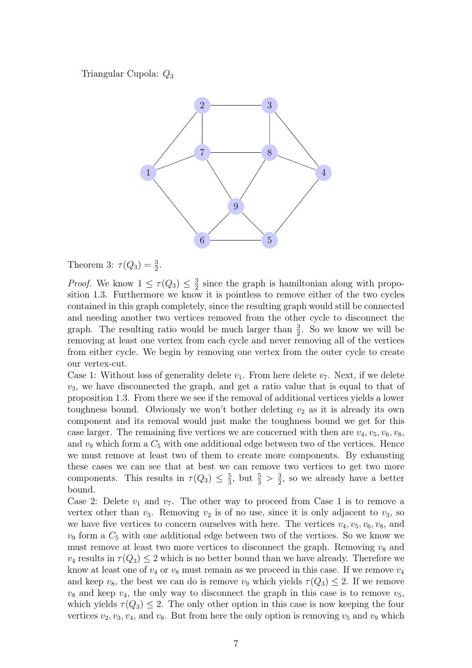Triangular Cupola: Q<sup>3</sup>



Theorem 3:  $\tau(Q_3) = \frac{3}{2}$ .

*Proof.* We know  $1 \leq \tau(Q_3) \leq \frac{3}{2}$  $\frac{3}{2}$  since the graph is hamiltonian along with proposition 1.3. Furthermore we know it is pointless to remove either of the two cycles contained in this graph completely, since the resulting graph would still be connected and needing another two vertices removed from the other cycle to disconnect the graph. The resulting ratio would be much larger than  $\frac{3}{2}$ . So we know we will be removing at least one vertex from each cycle and never removing all of the vertices from either cycle. We begin by removing one vertex from the outer cycle to create our vertex-cut.

Case 1: Without loss of generality delete  $v_1$ . From here delete  $v_7$ . Next, if we delete  $v_3$ , we have disconnected the graph, and get a ratio value that is equal to that of proposition 1.3. From there we see if the removal of additional vertices yields a lower toughness bound. Obviously we won't bother deleting  $v_2$  as it is already its own component and its removal would just make the toughness bound we get for this case larger. The remaining five vertices we are concerned with then are  $v_4, v_5, v_6, v_8$ , and  $v_9$  which form a  $C_5$  with one additional edge between two of the vertices. Hence we must remove at least two of them to create more components. By exhausting these cases we can see that at best we can remove two vertices to get two more components. This results in  $\tau(Q_3) \leq \frac{5}{3}$  $\frac{5}{3}$ , but  $\frac{5}{3} > \frac{3}{2}$  $\frac{3}{2}$ , so we already have a better bound.

Case 2: Delete  $v_1$  and  $v_7$ . The other way to proceed from Case 1 is to remove a vertex other than  $v_3$ . Removing  $v_2$  is of no use, since it is only adjacent to  $v_3$ , so we have five vertices to concern ourselves with here. The vertices  $v_4, v_5, v_6, v_8$ , and  $v_9$  form a  $C_5$  with one additional edge between two of the vertices. So we know we must remove at least two more vertices to disconnect the graph. Removing  $v_8$  and  $v_4$  results in  $\tau(Q_3) \leq 2$  which is no better bound than we have already. Therefore we know at least one of  $v_4$  or  $v_8$  must remain as we proceed in this case. If we remove  $v_4$ and keep  $v_8$ , the best we can do is remove  $v_9$  which yields  $\tau(Q_3) \leq 2$ . If we remove  $v_8$  and keep  $v_4$ , the only way to disconnect the graph in this case is to remove  $v_5$ , which yields  $\tau(Q_3) \leq 2$ . The only other option in this case is now keeping the four vertices  $v_2, v_3, v_4$ , and  $v_8$ . But from here the only option is removing  $v_5$  and  $v_9$  which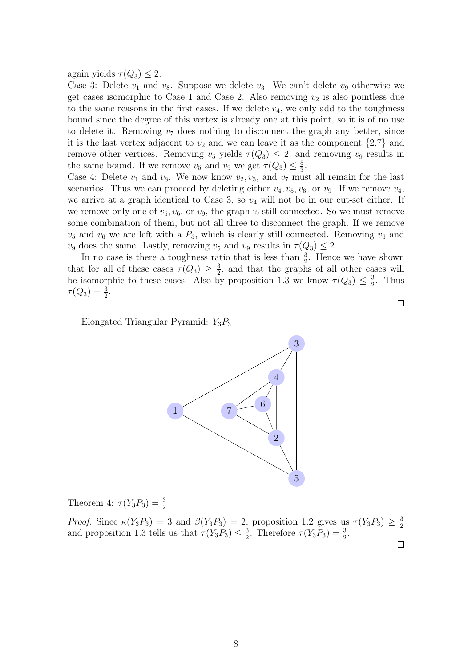again yields  $\tau(Q_3) \leq 2$ .

Case 3: Delete  $v_1$  and  $v_8$ . Suppose we delete  $v_3$ . We can't delete  $v_9$  otherwise we get cases isomorphic to Case 1 and Case 2. Also removing  $v_2$  is also pointless due to the same reasons in the first cases. If we delete  $v_4$ , we only add to the toughness bound since the degree of this vertex is already one at this point, so it is of no use to delete it. Removing  $v_7$  does nothing to disconnect the graph any better, since it is the last vertex adjacent to  $v_2$  and we can leave it as the component  $\{2,7\}$  and remove other vertices. Removing  $v_5$  yields  $\tau(Q_3) \leq 2$ , and removing  $v_9$  results in the same bound. If we remove  $v_5$  and  $v_9$  we get  $\tau(Q_3) \leq \frac{5}{3}$  $\frac{5}{3}$ .

Case 4: Delete  $v_1$  and  $v_8$ . We now know  $v_2, v_3$ , and  $v_7$  must all remain for the last scenarios. Thus we can proceed by deleting either  $v_4, v_5, v_6$ , or  $v_9$ . If we remove  $v_4$ , we arrive at a graph identical to Case 3, so  $v_4$  will not be in our cut-set either. If we remove only one of  $v_5$ ,  $v_6$ , or  $v_9$ , the graph is still connected. So we must remove some combination of them, but not all three to disconnect the graph. If we remove  $v_5$  and  $v_6$  we are left with a  $P_5$ , which is clearly still connected. Removing  $v_6$  and  $v_9$  does the same. Lastly, removing  $v_5$  and  $v_9$  results in  $\tau(Q_3) \leq 2$ .

In no case is there a toughness ratio that is less than  $\frac{3}{2}$ . Hence we have shown that for all of these cases  $\tau(Q_3) \geq \frac{3}{2}$  $\frac{3}{2}$ , and that the graphs of all other cases will be isomorphic to these cases. Also by proposition 1.3 we know  $\tau(Q_3) \leq \frac{3}{2}$  $\frac{3}{2}$ . Thus  $\tau(Q_3) = \frac{3}{2}.$ 

Elongated Triangular Pyramid:  $Y_3P_3$ 



Theorem 4:  $\tau(Y_3 P_3) = \frac{3}{2}$ 

*Proof.* Since  $\kappa(Y_3P_3) = 3$  and  $\beta(Y_3P_3) = 2$ , proposition 1.2 gives us  $\tau(Y_3P_3) \geq \frac{3}{2}$ 2 and proposition 1.3 tells us that  $\tau(Y_3 P_3) \leq \frac{3}{2}$  $\frac{3}{2}$ . Therefore  $\tau(Y_3 P_3) = \frac{3}{2}$ .  $\Box$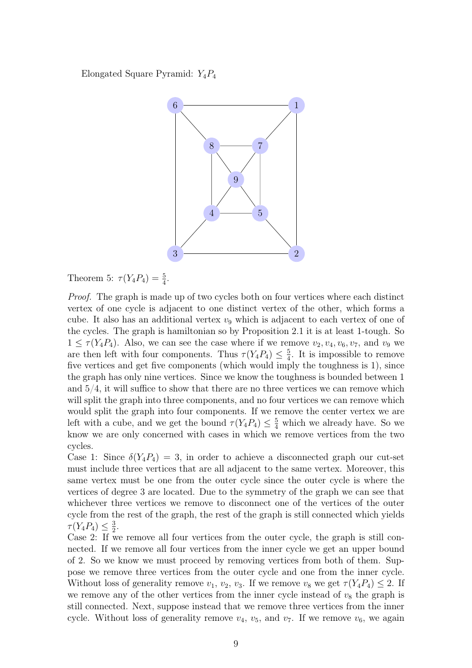Elongated Square Pyramid:  $Y_4P_4$ 



Theorem 5:  $\tau(Y_4 P_4) = \frac{5}{4}$ .

Proof. The graph is made up of two cycles both on four vertices where each distinct vertex of one cycle is adjacent to one distinct vertex of the other, which forms a cube. It also has an additional vertex  $v_9$  which is adjacent to each vertex of one of the cycles. The graph is hamiltonian so by Proposition 2.1 it is at least 1-tough. So  $1 \leq \tau(Y_4 P_4)$ . Also, we can see the case where if we remove  $v_2, v_4, v_6, v_7$ , and  $v_9$  we are then left with four components. Thus  $\tau(Y_4P_4) \leq \frac{5}{4}$  $\frac{5}{4}$ . It is impossible to remove five vertices and get five components (which would imply the toughness is 1), since the graph has only nine vertices. Since we know the toughness is bounded between 1 and 5/4, it will suffice to show that there are no three vertices we can remove which will split the graph into three components, and no four vertices we can remove which would split the graph into four components. If we remove the center vertex we are left with a cube, and we get the bound  $\tau(Y_4 P_4) \leq \frac{5}{4}$  which we already have. So we know we are only concerned with cases in which we remove vertices from the two cycles.

Case 1: Since  $\delta(Y_4P_4) = 3$ , in order to achieve a disconnected graph our cut-set must include three vertices that are all adjacent to the same vertex. Moreover, this same vertex must be one from the outer cycle since the outer cycle is where the vertices of degree 3 are located. Due to the symmetry of the graph we can see that whichever three vertices we remove to disconnect one of the vertices of the outer cycle from the rest of the graph, the rest of the graph is still connected which yields  $\tau(Y_4P_4) \leq \frac{3}{2}$  $\frac{3}{2}$ .

Case 2: If we remove all four vertices from the outer cycle, the graph is still connected. If we remove all four vertices from the inner cycle we get an upper bound of 2. So we know we must proceed by removing vertices from both of them. Suppose we remove three vertices from the outer cycle and one from the inner cycle. Without loss of generality remove  $v_1, v_2, v_3$ . If we remove  $v_8$  we get  $\tau(Y_4P_4) \leq 2$ . If we remove any of the other vertices from the inner cycle instead of  $v_8$  the graph is still connected. Next, suppose instead that we remove three vertices from the inner cycle. Without loss of generality remove  $v_4$ ,  $v_5$ , and  $v_7$ . If we remove  $v_6$ , we again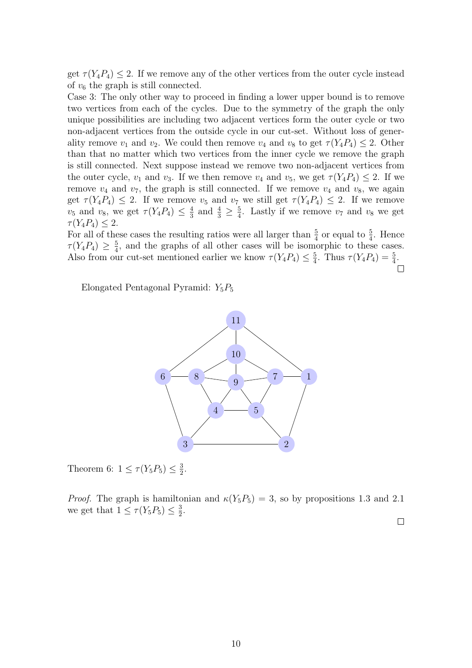get  $\tau(Y_4P_4) \leq 2$ . If we remove any of the other vertices from the outer cycle instead of  $v_6$  the graph is still connected.

Case 3: The only other way to proceed in finding a lower upper bound is to remove two vertices from each of the cycles. Due to the symmetry of the graph the only unique possibilities are including two adjacent vertices form the outer cycle or two non-adjacent vertices from the outside cycle in our cut-set. Without loss of generality remove  $v_1$  and  $v_2$ . We could then remove  $v_4$  and  $v_8$  to get  $\tau(Y_4P_4) \leq 2$ . Other than that no matter which two vertices from the inner cycle we remove the graph is still connected. Next suppose instead we remove two non-adjacent vertices from the outer cycle,  $v_1$  and  $v_3$ . If we then remove  $v_4$  and  $v_5$ , we get  $\tau(Y_4P_4) \leq 2$ . If we remove  $v_4$  and  $v_7$ , the graph is still connected. If we remove  $v_4$  and  $v_8$ , we again get  $\tau(Y_4P_4) \leq 2$ . If we remove  $v_5$  and  $v_7$  we still get  $\tau(Y_4P_4) \leq 2$ . If we remove  $v_5$  and  $v_8$ , we get  $\tau(Y_4 P_4) \leq \frac{4}{3}$  $\frac{4}{3}$  and  $\frac{4}{3} \ge \frac{5}{4}$  $\frac{5}{4}$ . Lastly if we remove  $v_7$  and  $v_8$  we get  $\tau(Y_4P_4) \leq 2.$ 

For all of these cases the resulting ratios were all larger than  $\frac{5}{4}$  or equal to  $\frac{5}{4}$ . Hence  $\tau(Y_4P_4)\,\geq\,\frac{5}{4}$  $\frac{5}{4}$ , and the graphs of all other cases will be isomorphic to these cases. Also from our cut-set mentioned earlier we know  $\tau(Y_4 P_4) \leq \frac{5}{4}$  $\frac{5}{4}$ . Thus  $\tau(Y_4 P_4) = \frac{5}{4}$ .  $\Box$ 

Elongated Pentagonal Pyramid:  $Y_5P_5$ 



Theorem 6:  $1 \leq \tau(Y_5 P_5) \leq \frac{3}{2}$  $\frac{3}{2}$ .

*Proof.* The graph is hamiltonian and  $\kappa(Y_5P_5) = 3$ , so by propositions 1.3 and 2.1 we get that  $1 \leq \tau(Y_5 P_5) \leq \frac{3}{2}$  $\frac{3}{2}$ .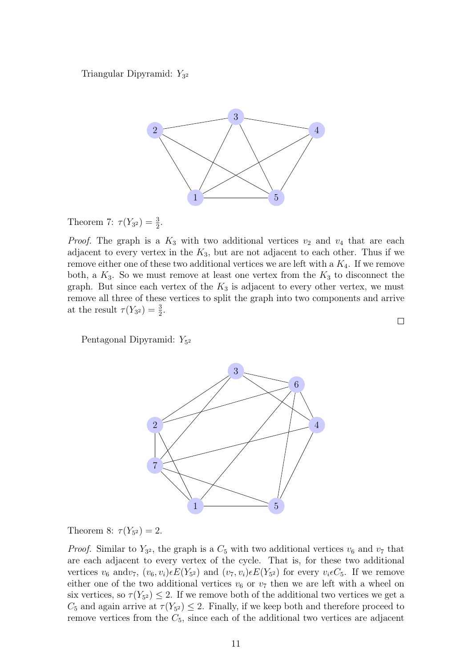Triangular Dipyramid: Y<sub>32</sub>



Theorem 7:  $\tau(Y_{3^2}) = \frac{3}{2}$ .

*Proof.* The graph is a  $K_3$  with two additional vertices  $v_2$  and  $v_4$  that are each adjacent to every vertex in the  $K_3$ , but are not adjacent to each other. Thus if we remove either one of these two additional vertices we are left with a  $K_4$ . If we remove both, a  $K_3$ . So we must remove at least one vertex from the  $K_3$  to disconnect the graph. But since each vertex of the  $K_3$  is adjacent to every other vertex, we must remove all three of these vertices to split the graph into two components and arrive at the result  $\tau(Y_{3^2}) = \frac{3}{2}$ .

Pentagonal Dipyramid:  $Y_{5^2}$ 



Theorem 8:  $\tau(Y_{5^2}) = 2$ .

*Proof.* Similar to  $Y_{3^2}$ , the graph is a  $C_5$  with two additional vertices  $v_6$  and  $v_7$  that are each adjacent to every vertex of the cycle. That is, for these two additional vertices  $v_6$  and  $v_7$ ,  $(v_6, v_i) \in E(Y_{5^2})$  and  $(v_7, v_i) \in E(Y_{5^2})$  for every  $v_i \in C_5$ . If we remove either one of the two additional vertices  $v_6$  or  $v_7$  then we are left with a wheel on six vertices, so  $\tau(Y_{5^2}) \leq 2$ . If we remove both of the additional two vertices we get a  $C_5$  and again arrive at  $\tau(Y_{5^2}) \leq 2$ . Finally, if we keep both and therefore proceed to remove vertices from the  $C_5$ , since each of the additional two vertices are adjacent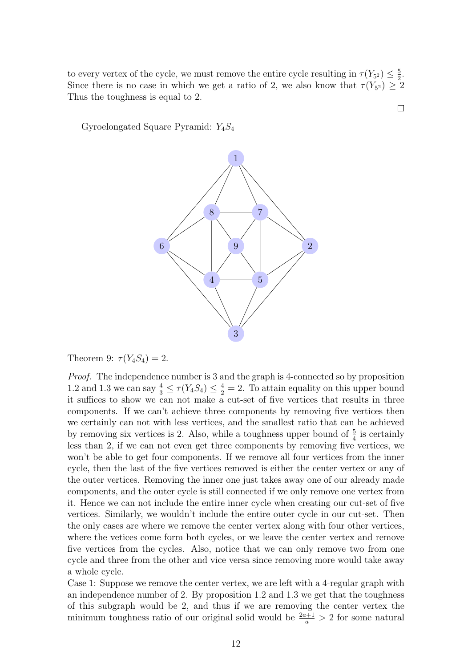to every vertex of the cycle, we must remove the entire cycle resulting in  $\tau(Y_{5^2}) \leq \frac{5}{2}$  $\frac{5}{2}$ . Since there is no case in which we get a ratio of 2, we also know that  $\tau(Y_{5^2}) \geq 2$ Thus the toughness is equal to 2.

 $\Box$ 

Gyroelongated Square Pyramid:  $Y_4S_4$ 



Theorem 9:  $\tau(Y_4S_4) = 2$ .

Proof. The independence number is 3 and the graph is 4-connected so by proposition 1.2 and 1.3 we can say  $\frac{4}{3} \leq \tau(Y_4S_4) \leq \frac{4}{2} = 2$ . To attain equality on this upper bound it suffices to show we can not make a cut-set of five vertices that results in three components. If we can't achieve three components by removing five vertices then we certainly can not with less vertices, and the smallest ratio that can be achieved by removing six vertices is 2. Also, while a toughness upper bound of  $\frac{5}{4}$  is certainly less than 2, if we can not even get three components by removing five vertices, we won't be able to get four components. If we remove all four vertices from the inner cycle, then the last of the five vertices removed is either the center vertex or any of the outer vertices. Removing the inner one just takes away one of our already made components, and the outer cycle is still connected if we only remove one vertex from it. Hence we can not include the entire inner cycle when creating our cut-set of five vertices. Similarly, we wouldn't include the entire outer cycle in our cut-set. Then the only cases are where we remove the center vertex along with four other vertices, where the vetices come form both cycles, or we leave the center vertex and remove five vertices from the cycles. Also, notice that we can only remove two from one cycle and three from the other and vice versa since removing more would take away a whole cycle.

Case 1: Suppose we remove the center vertex, we are left with a 4-regular graph with an independence number of 2. By proposition 1.2 and 1.3 we get that the toughness of this subgraph would be 2, and thus if we are removing the center vertex the minimum toughness ratio of our original solid would be  $\frac{2a+1}{a} > 2$  for some natural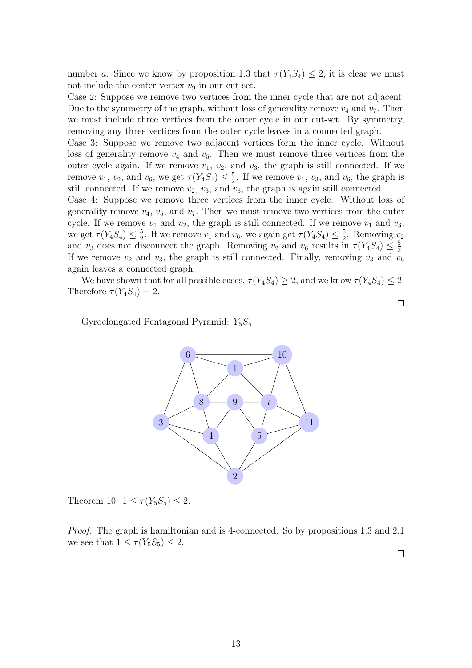number a. Since we know by proposition 1.3 that  $\tau(Y_4S_4) \leq 2$ , it is clear we must not include the center vertex  $v_9$  in our cut-set.

Case 2: Suppose we remove two vertices from the inner cycle that are not adjacent. Due to the symmetry of the graph, without loss of generality remove  $v_4$  and  $v_7$ . Then we must include three vertices from the outer cycle in our cut-set. By symmetry, removing any three vertices from the outer cycle leaves in a connected graph.

Case 3: Suppose we remove two adjacent vertices form the inner cycle. Without loss of generality remove  $v_4$  and  $v_5$ . Then we must remove three vertices from the outer cycle again. If we remove  $v_1$ ,  $v_2$ , and  $v_3$ , the graph is still connected. If we remove  $v_1, v_2$ , and  $v_6$ , we get  $\tau(Y_4S_4) \leq \frac{5}{2}$  $\frac{5}{2}$ . If we remove  $v_1$ ,  $v_3$ , and  $v_6$ , the graph is still connected. If we remove  $v_2$ ,  $v_3$ , and  $v_6$ , the graph is again still connected.

Case 4: Suppose we remove three vertices from the inner cycle. Without loss of generality remove  $v_4$ ,  $v_5$ , and  $v_7$ . Then we must remove two vertices from the outer cycle. If we remove  $v_1$  and  $v_2$ , the graph is still connected. If we remove  $v_1$  and  $v_3$ , we get  $\tau(Y_4S_4) \leq \frac{5}{2}$  $\frac{5}{2}$ . If we remove  $v_1$  and  $v_6$ , we again get  $\tau(Y_4S_4) \leq \frac{5}{2}$  $\frac{5}{2}$ . Removing  $v_2$ and  $v_3$  does not disconnect the graph. Removing  $v_2$  and  $v_6$  results in  $\tau(Y_4S_4) \leq \frac{5}{2}$  $\frac{5}{2}$ . If we remove  $v_2$  and  $v_3$ , the graph is still connected. Finally, removing  $v_3$  and  $v_6$ again leaves a connected graph.

We have shown that for all possible cases,  $\tau(Y_4S_4) \geq 2$ , and we know  $\tau(Y_4S_4) \leq 2$ . Therefore  $\tau(Y_4S_4)=2$ .

Gyroelongated Pentagonal Pyramid:  $Y_5S_5$ 



Theorem 10:  $1 \leq \tau(Y_5S_5) \leq 2$ .

Proof. The graph is hamiltonian and is 4-connected. So by propositions 1.3 and 2.1 we see that  $1 \leq \tau(Y_5S_5) \leq 2$ .

 $\Box$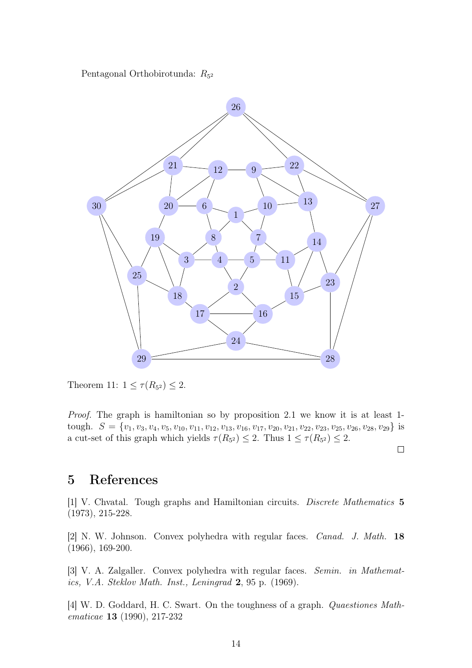Pentagonal Orthobirotunda:  $R_{5^2}$ 



Theorem 11:  $1 \leq \tau(R_{5^2}) \leq 2$ .

Proof. The graph is hamiltonian so by proposition 2.1 we know it is at least 1 tough.  $S = \{v_1, v_3, v_4, v_5, v_{10}, v_{11}, v_{12}, v_{13}, v_{16}, v_{17}, v_{20}, v_{21}, v_{22}, v_{23}, v_{25}, v_{26}, v_{28}, v_{29}\}$  is a cut-set of this graph which yields  $\tau(R_{5^2}) \leq 2$ . Thus  $1 \leq \tau(R_{5^2}) \leq 2$ .

 $\Box$ 

#### 5 References

[1] V. Chvatal. Tough graphs and Hamiltonian circuits. Discrete Mathematics 5 (1973), 215-228.

[2] N. W. Johnson. Convex polyhedra with regular faces. Canad. J. Math. 18 (1966), 169-200.

[3] V. A. Zalgaller. Convex polyhedra with regular faces. Semin. in Mathematics, V.A. Steklov Math. Inst., Leningrad  $2, 95$  p. (1969).

[4] W. D. Goddard, H. C. Swart. On the toughness of a graph. Quaestiones Mathematicae 13 (1990), 217-232